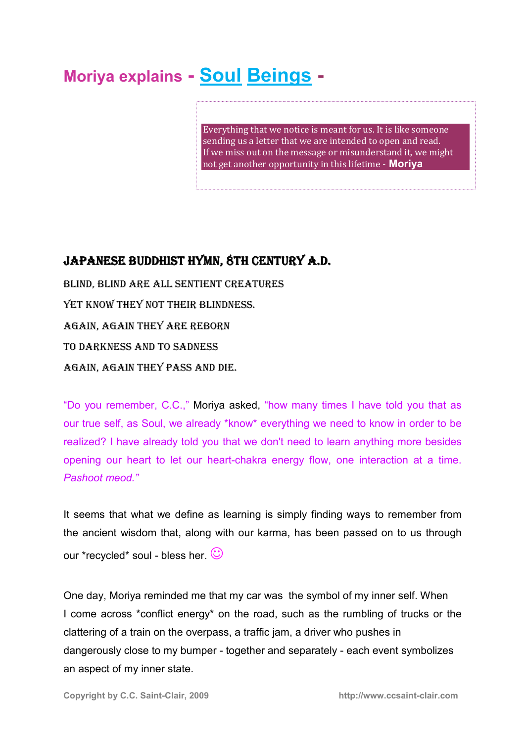# **Moriya explains - Soul Beings -**

Everything that we notice is meant for us. It is like someone sending us a letter that we are intended to open and read. If we miss out on the message or misunderstand it, we might not get another opportunity in this lifetime - **Moriya**

# JAPANESE BUDDHIST HYMN, 8TH CENTURY A.D.

BLIND, BLIND ARE ALL SENTIENT CREATURES YET KNOW THEY NOT THEIR BLINDNESS. AGAIN, AGAIN THEY ARE REBORN TO DARKNESS AND TO SADNESS AGAIN, AGAIN THEY PASS AND DIE.

"Do you remember, C.C.," Moriya asked, "how many times I have told you that as our true self, as Soul, we already \*know\* everything we need to know in order to be realized? I have already told you that we don't need to learn anything more besides opening our heart to let our heart-chakra energy flow, one interaction at a time. *Pashoot meod."* 

It seems that what we define as learning is simply finding ways to remember from the ancient wisdom that, along with our karma, has been passed on to us through our \*recycled\* soul - bless her.  $\heartsuit$ 

One day, Moriya reminded me that my car was the symbol of my inner self. When I come across \*conflict energy\* on the road, such as the rumbling of trucks or the clattering of a train on the overpass, a traffic jam, a driver who pushes in dangerously close to my bumper - together and separately - each event symbolizes an aspect of my inner state.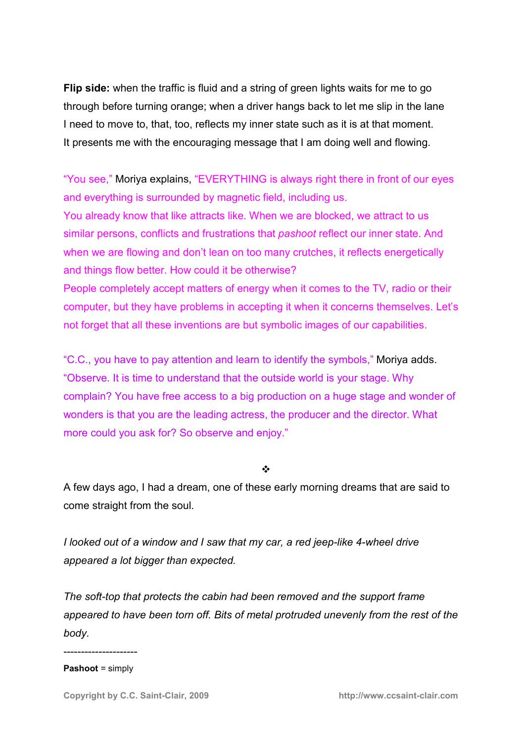**Flip side:** when the traffic is fluid and a string of green lights waits for me to go through before turning orange; when a driver hangs back to let me slip in the lane I need to move to, that, too, reflects my inner state such as it is at that moment. It presents me with the encouraging message that I am doing well and flowing.

"You see," Moriya explains, "EVERYTHING is always right there in front of our eyes and everything is surrounded by magnetic field, including us.

You already know that like attracts like. When we are blocked, we attract to us similar persons, conflicts and frustrations that *pashoot* reflect our inner state. And when we are flowing and don't lean on too many crutches, it reflects energetically and things flow better. How could it be otherwise?

People completely accept matters of energy when it comes to the TV, radio or their computer, but they have problems in accepting it when it concerns themselves. Let's not forget that all these inventions are but symbolic images of our capabilities.

"C.C., you have to pay attention and learn to identify the symbols," Moriya adds. "Observe. It is time to understand that the outside world is your stage. Why complain? You have free access to a big production on a huge stage and wonder of wonders is that you are the leading actress, the producer and the director. What more could you ask for? So observe and enjoy."

#### $\cdot$

A few days ago, I had a dream, one of these early morning dreams that are said to come straight from the soul.

*I looked out of a window and I saw that my car, a red jeep-like 4-wheel drive appeared a lot bigger than expected.* 

*The soft-top that protects the cabin had been removed and the support frame appeared to have been torn off. Bits of metal protruded unevenly from the rest of the body.* 

--------------------- **Pashoot** = simply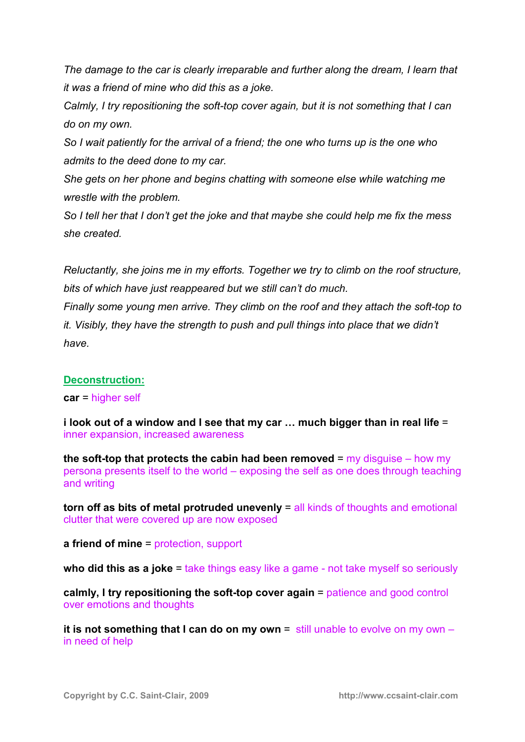*The damage to the car is clearly irreparable and further along the dream, I learn that it was a friend of mine who did this as a joke.* 

*Calmly, I try repositioning the soft-top cover again, but it is not something that I can do on my own.* 

*So I wait patiently for the arrival of a friend; the one who turns up is the one who admits to the deed done to my car.* 

*She gets on her phone and begins chatting with someone else while watching me wrestle with the problem.* 

*So I tell her that I don't get the joke and that maybe she could help me fix the mess she created.*

*Reluctantly, she joins me in my efforts. Together we try to climb on the roof structure, bits of which have just reappeared but we still can't do much.* 

*Finally some young men arrive. They climb on the roof and they attach the soft-top to it. Visibly, they have the strength to push and pull things into place that we didn't have.* 

# **Deconstruction:**

**car** = higher self

**i look out of a window and I see that my car ... much bigger than in real life =** inner expansion, increased awareness

**the soft-top that protects the cabin had been removed** = my disguise – how my persona presents itself to the world – exposing the self as one does through teaching and writing

**torn off as bits of metal protruded unevenly** = all kinds of thoughts and emotional clutter that were covered up are now exposed

**a friend of mine** = protection, support

**who did this as a joke** = take things easy like a game - not take myself so seriously

**calmly, I try repositioning the soft-top cover again** = patience and good control over emotions and thoughts

**it is not something that I can do on my own** = still unable to evolve on my own – in need of help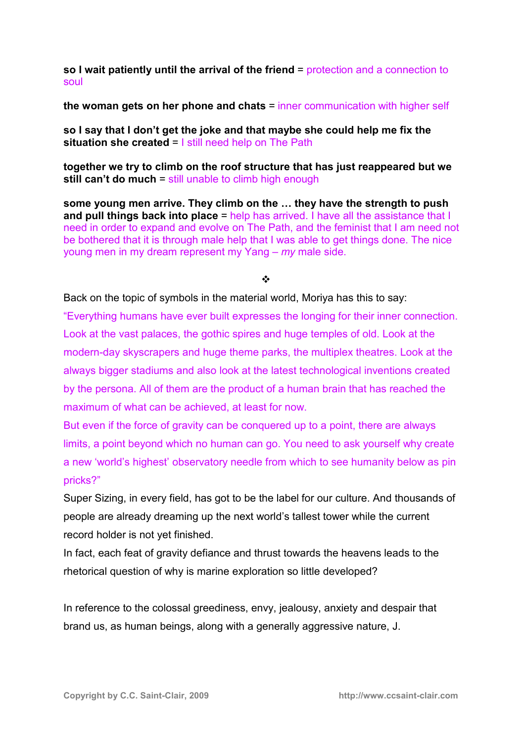**so I wait patiently until the arrival of the friend** = protection and a connection to soul

**the woman gets on her phone and chats** = inner communication with higher self

**so I say that I don't get the joke and that maybe she could help me fix the situation she created** = I still need help on The Path

**together we try to climb on the roof structure that has just reappeared but we still can't do much** = still unable to climb high enough

some young men arrive. They climb on the ... they have the strength to push **and pull things back into place** = help has arrived. I have all the assistance that I need in order to expand and evolve on The Path, and the feminist that I am need not be bothered that it is through male help that I was able to get things done. The nice young men in my dream represent my Yang – *my* male side.

 $\mathbf{A}$ 

Back on the topic of symbols in the material world, Moriya has this to say:

"Everything humans have ever built expresses the longing for their inner connection. Look at the vast palaces, the gothic spires and huge temples of old. Look at the modern-day skyscrapers and huge theme parks, the multiplex theatres. Look at the always bigger stadiums and also look at the latest technological inventions created by the persona. All of them are the product of a human brain that has reached the maximum of what can be achieved, at least for now.

But even if the force of gravity can be conquered up to a point, there are always limits, a point beyond which no human can go. You need to ask yourself why create a new 'world's highest' observatory needle from which to see humanity below as pin pricks?"

Super Sizing, in every field, has got to be the label for our culture. And thousands of people are already dreaming up the next world's tallest tower while the current record holder is not yet finished.

In fact, each feat of gravity defiance and thrust towards the heavens leads to the rhetorical question of why is marine exploration so little developed?

In reference to the colossal greediness, envy, jealousy, anxiety and despair that brand us, as human beings, along with a generally aggressive nature, J.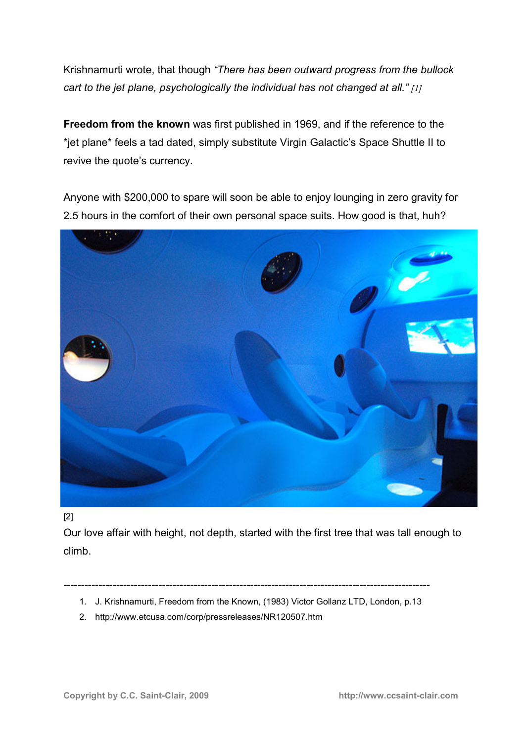Krishnamurti wrote, that though *"There has been outward progress from the bullock cart to the jet plane, psychologically the individual has not changed at all." [1]*

**Freedom from the known** was first published in 1969, and if the reference to the \*jet plane\* feels a tad dated, simply substitute Virgin Galactic's Space Shuttle II to revive the quote's currency.

Anyone with \$200,000 to spare will soon be able to enjoy lounging in zero gravity for 2.5 hours in the comfort of their own personal space suits. How good is that, huh?



[2]

Our love affair with height, not depth, started with the first tree that was tall enough to climb.

- --------------------------------------------------------------------------------------------------------
	- 1. J. Krishnamurti, Freedom from the Known, (1983) Victor Gollanz LTD, London, p.13
	- 2. http://www.etcusa.com/corp/pressreleases/NR120507.htm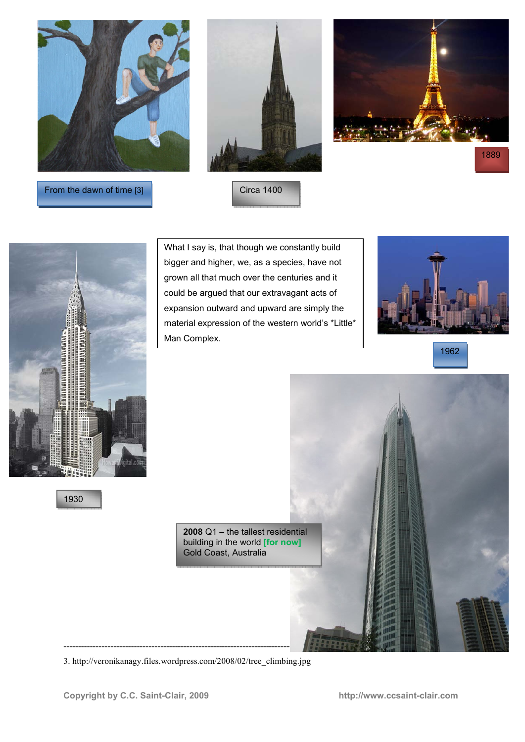





From the dawn of time [3]

Circa 1400



What I say is, that though we constantly build bigger and higher, we, as a species, have not grown all that much over the centuries and it could be argued that our extravagant acts of expansion outward and upward are simply the material expression of the western world's \*Little\* Man Complex.



1962



3. http://veronikanagy.files.wordpress.com/2008/02/tree\_climbing.jpg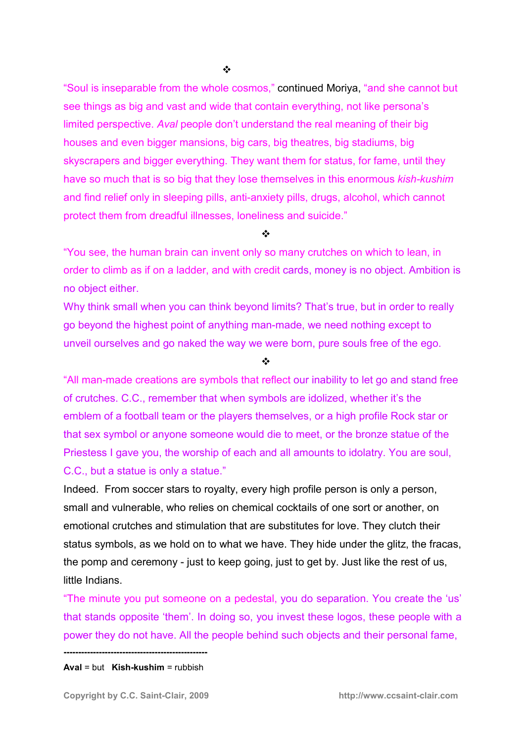"Soul is inseparable from the whole cosmos," continued Moriya, "and she cannot but see things as big and vast and wide that contain everything, not like persona's limited perspective. *Aval* people don't understand the real meaning of their big houses and even bigger mansions, big cars, big theatres, big stadiums, big skyscrapers and bigger everything. They want them for status, for fame, until they have so much that is so big that they lose themselves in this enormous *kish-kushim* and find relief only in sleeping pills, anti-anxiety pills, drugs, alcohol, which cannot protect them from dreadful illnesses, loneliness and suicide."

 $\mathbf{r}$ 

"You see, the human brain can invent only so many crutches on which to lean, in order to climb as if on a ladder, and with credit cards, money is no object. Ambition is no object either.

Why think small when you can think beyond limits? That's true, but in order to really go beyond the highest point of anything man-made, we need nothing except to unveil ourselves and go naked the way we were born, pure souls free of the ego.

 $\cdot$ 

"All man-made creations are symbols that reflect our inability to let go and stand free of crutches. C.C., remember that when symbols are idolized, whether it's the emblem of a football team or the players themselves, or a high profile Rock star or that sex symbol or anyone someone would die to meet, or the bronze statue of the Priestess I gave you, the worship of each and all amounts to idolatry. You are soul, C.C., but a statue is only a statue."

Indeed. From soccer stars to royalty, every high profile person is only a person, small and vulnerable, who relies on chemical cocktails of one sort or another, on emotional crutches and stimulation that are substitutes for love. They clutch their status symbols, as we hold on to what we have. They hide under the glitz, the fracas, the pomp and ceremony - just to keep going, just to get by. Just like the rest of us, little Indians.

"The minute you put someone on a pedestal, you do separation. You create the 'us' that stands opposite 'them'. In doing so, you invest these logos, these people with a power they do not have. All the people behind such objects and their personal fame,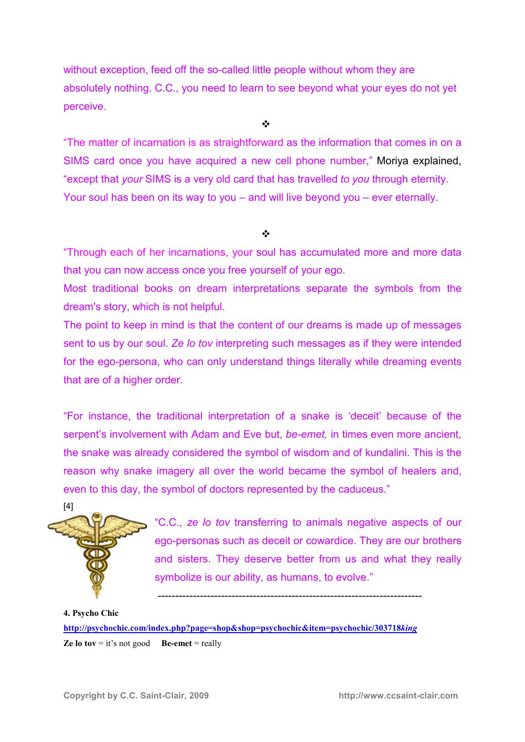without exception, feed off the so-called little people without whom they are absolutely nothing. C.C., you need to learn to see beyond what your eyes do not yet perceive.

 $\frac{1}{2}$ 

"The matter of incarnation is as straightforward as the information that comes in on a SIMS card once you have acquired a new cell phone number," Moriya explained, "except that *your* SIMS is a very old card that has travelled *to you* through eternity. Your soul has been on its way to you – and will live beyond you – ever eternally.

#### $\frac{1}{2}$

"Through each of her incarnations, your soul has accumulated more and more data that you can now access once you free yourself of your ego.

Most traditional books on dream interpretations separate the symbols from the dream's story, which is not helpful.

The point to keep in mind is that the content of our dreams is made up of messages sent to us by our soul. *Ze lo tov* interpreting such messages as if they were intended for the ego-persona, who can only understand things literally while dreaming events that are of a higher order.

"For instance, the traditional interpretation of a snake is 'deceit' because of the serpent's involvement with Adam and Eve but, *be-emet,* in times even more ancient, the snake was already considered the symbol of wisdom and of kundalini. This is the reason why snake imagery all over the world became the symbol of healers and, even to this day, the symbol of doctors represented by the caduceus."



"C.C., *ze lo tov* transferring to animals negative aspects of our ego-personas such as deceit or cowardice. They are our brothers and sisters. They deserve better from us and what they really symbolize is our ability, as humans, to evolve."

**4. Psycho Chic http://psychochic.com/index.php?page=shop&shop=psychochic&item=psychochic/303718***king*  **Ze lo tov**  $=$  it's not good **Be-emet**  $=$  really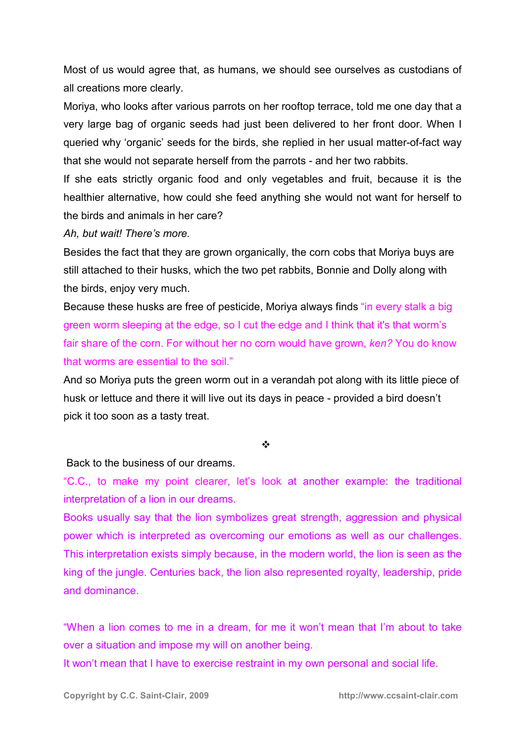Most of us would agree that, as humans, we should see ourselves as custodians of all creations more clearly.

Moriya, who looks after various parrots on her rooftop terrace, told me one day that a very large bag of organic seeds had just been delivered to her front door. When I queried why 'organic' seeds for the birds, she replied in her usual matter-of-fact way that she would not separate herself from the parrots - and her two rabbits.

If she eats strictly organic food and only vegetables and fruit, because it is the healthier alternative, how could she feed anything she would not want for herself to the birds and animals in her care?

*Ah, but wait! There's more.* 

Besides the fact that they are grown organically, the corn cobs that Moriya buys are still attached to their husks, which the two pet rabbits, Bonnie and Dolly along with the birds, enjoy very much.

Because these husks are free of pesticide, Moriya always finds "in every stalk a big green worm sleeping at the edge, so I cut the edge and I think that it's that worm's fair share of the corn. For without her no corn would have grown, *ken?* You do know that worms are essential to the soil."

And so Moriya puts the green worm out in a verandah pot along with its little piece of husk or lettuce and there it will live out its days in peace - provided a bird doesn't pick it too soon as a tasty treat.

 $\cdot$ 

Back to the business of our dreams.

"C.C., to make my point clearer, let's look at another example: the traditional interpretation of a lion in our dreams.

Books usually say that the lion symbolizes great strength, aggression and physical power which is interpreted as overcoming our emotions as well as our challenges. This interpretation exists simply because, in the modern world, the lion is seen as the king of the jungle. Centuries back, the lion also represented royalty, leadership, pride and dominance.

"When a lion comes to me in a dream, for me it won't mean that I'm about to take over a situation and impose my will on another being.

It won't mean that I have to exercise restraint in my own personal and social life.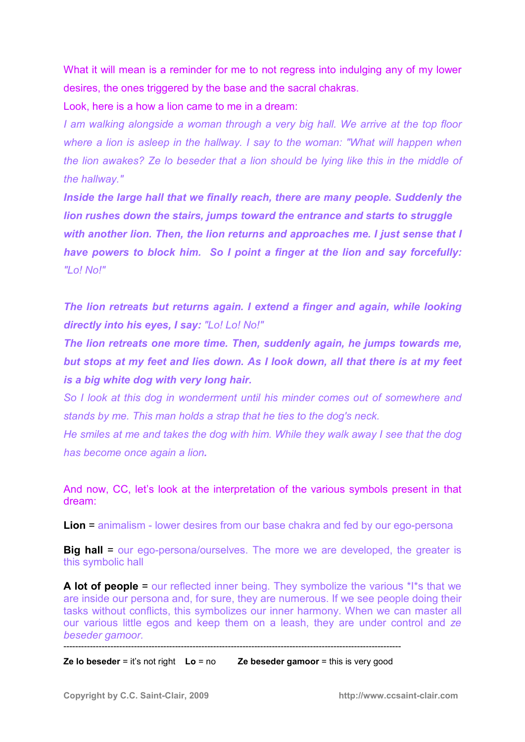What it will mean is a reminder for me to not regress into indulging any of my lower desires, the ones triggered by the base and the sacral chakras.

Look, here is a how a lion came to me in a dream:

*I am walking alongside a woman through a very big hall. We arrive at the top floor where a lion is asleep in the hallway. I say to the woman: "What will happen when the lion awakes? Ze lo beseder that a lion should be lying like this in the middle of the hallway."* 

*Inside the large hall that we finally reach, there are many people. Suddenly the lion rushes down the stairs, jumps toward the entrance and starts to struggle with another lion. Then, the lion returns and approaches me. I just sense that I have powers to block him. So I point a finger at the lion and say forcefully: "Lo! No!"* 

*The lion retreats but returns again. I extend a finger and again, while looking directly into his eyes, I say: "Lo! Lo! No!"* 

*The lion retreats one more time. Then, suddenly again, he jumps towards me, but stops at my feet and lies down. As I look down, all that there is at my feet is a big white dog with very long hair.* 

*So I look at this dog in wonderment until his minder comes out of somewhere and stands by me. This man holds a strap that he ties to the dog's neck.* 

*He smiles at me and takes the dog with him. While they walk away I see that the dog has become once again a lion.* 

And now, CC, let's look at the interpretation of the various symbols present in that dream:

**Lion** = animalism - lower desires from our base chakra and fed by our ego-persona

**Big hall =** our ego-persona/ourselves. The more we are developed, the greater is this symbolic hall

**A lot of people** = our reflected inner being. They symbolize the various \*I\*s that we are inside our persona and, for sure, they are numerous. If we see people doing their tasks without conflicts, this symbolizes our inner harmony. When we can master all our various little egos and keep them on a leash, they are under control and *ze beseder gamoor.* -------------------------------------------------------------------------------------------------------------------

**Ze lo beseder** = it's not right **Lo** = no **Ze beseder gamoor** = this is very good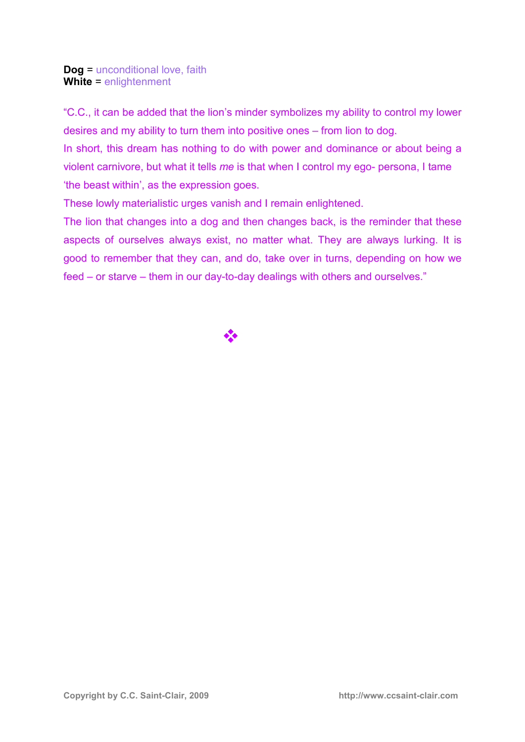#### **Dog** = unconditional love, faith **White** = enlightenment

"C.C., it can be added that the lion's minder symbolizes my ability to control my lower desires and my ability to turn them into positive ones – from lion to dog.

In short, this dream has nothing to do with power and dominance or about being a violent carnivore, but what it tells *me* is that when I control my ego- persona, I tame 'the beast within', as the expression goes.

These lowly materialistic urges vanish and I remain enlightened.

The lion that changes into a dog and then changes back, is the reminder that these aspects of ourselves always exist, no matter what. They are always lurking. It is good to remember that they can, and do, take over in turns, depending on how we feed – or starve – them in our day-to-day dealings with others and ourselves."

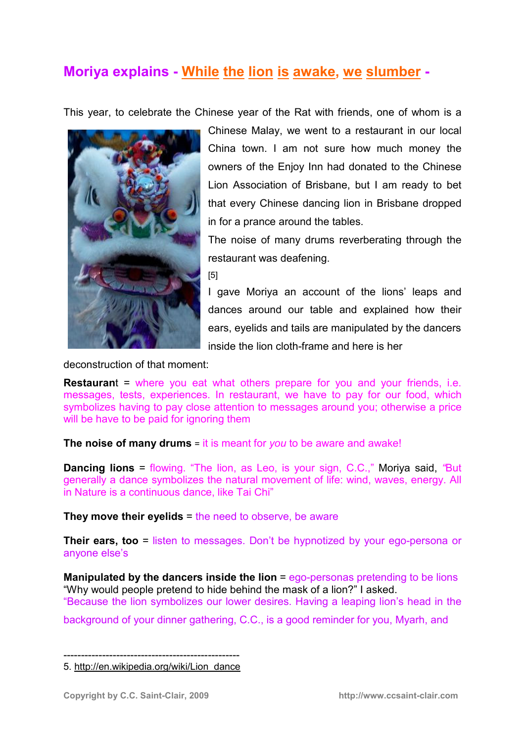# **Moriya explains - While the lion is awake, we slumber -**

This year, to celebrate the Chinese year of the Rat with friends, one of whom is a



Chinese Malay, we went to a restaurant in our local China town. I am not sure how much money the owners of the Enjoy Inn had donated to the Chinese Lion Association of Brisbane, but I am ready to bet that every Chinese dancing lion in Brisbane dropped in for a prance around the tables.

The noise of many drums reverberating through the restaurant was deafening.

[5]

I gave Moriya an account of the lions' leaps and dances around our table and explained how their ears, eyelids and tails are manipulated by the dancers inside the lion cloth-frame and here is her

deconstruction of that moment:

**Restaurant** = where you eat what others prepare for you and your friends, i.e. messages, tests, experiences. In restaurant, we have to pay for our food, which symbolizes having to pay close attention to messages around you; otherwise a price will be have to be paid for ignoring them

**The noise of many drums** = it is meant for *you* to be aware and awake!

**Dancing lions** = flowing. "The lion, as Leo, is your sign, C.C.," Moriya said, *"*But generally a dance symbolizes the natural movement of life: wind, waves, energy. All in Nature is a continuous dance, like Tai Chi"

**They move their eyelids** = the need to observe, be aware

**Their ears, too** = listen to messages. Don't be hypnotized by your ego-persona or anyone else's

**Manipulated by the dancers inside the lion** = ego-personas pretending to be lions "Why would people pretend to hide behind the mask of a lion?" I asked. "Because the lion symbolizes our lower desires. Having a leaping lion's head in the

background of your dinner gathering, C.C., is a good reminder for you, Myarh, and

-------------------------------------------------- 5. http://en.wikipedia.org/wiki/Lion\_dance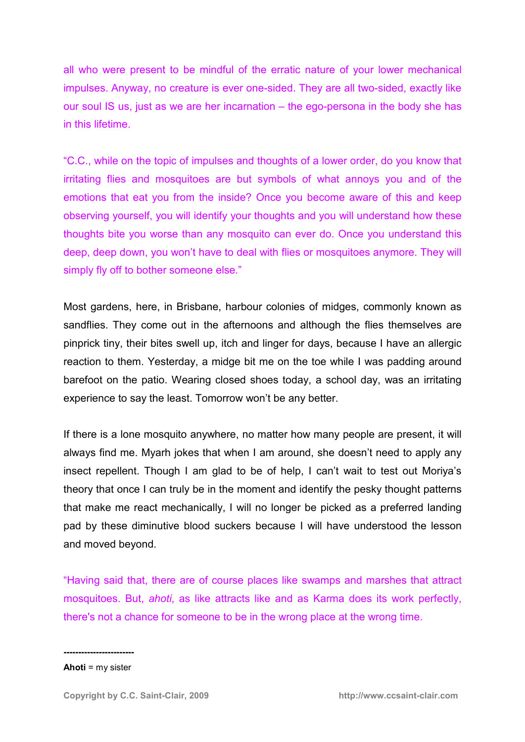all who were present to be mindful of the erratic nature of your lower mechanical impulses. Anyway, no creature is ever one-sided. They are all two-sided, exactly like our soul IS us, just as we are her incarnation – the ego-persona in the body she has in this lifetime.

"C.C., while on the topic of impulses and thoughts of a lower order, do you know that irritating flies and mosquitoes are but symbols of what annoys you and of the emotions that eat you from the inside? Once you become aware of this and keep observing yourself, you will identify your thoughts and you will understand how these thoughts bite you worse than any mosquito can ever do. Once you understand this deep, deep down, you won't have to deal with flies or mosquitoes anymore. They will simply fly off to bother someone else."

Most gardens, here, in Brisbane, harbour colonies of midges, commonly known as sandflies. They come out in the afternoons and although the flies themselves are pinprick tiny, their bites swell up, itch and linger for days, because I have an allergic reaction to them. Yesterday, a midge bit me on the toe while I was padding around barefoot on the patio. Wearing closed shoes today, a school day, was an irritating experience to say the least. Tomorrow won't be any better.

If there is a lone mosquito anywhere, no matter how many people are present, it will always find me. Myarh jokes that when I am around, she doesn't need to apply any insect repellent. Though I am glad to be of help, I can't wait to test out Moriya's theory that once I can truly be in the moment and identify the pesky thought patterns that make me react mechanically, I will no longer be picked as a preferred landing pad by these diminutive blood suckers because I will have understood the lesson and moved beyond.

"Having said that, there are of course places like swamps and marshes that attract mosquitoes. But, *ahoti*, as like attracts like and as Karma does its work perfectly, there's not a chance for someone to be in the wrong place at the wrong time.

**Ahoti** = my sister

**------------------------**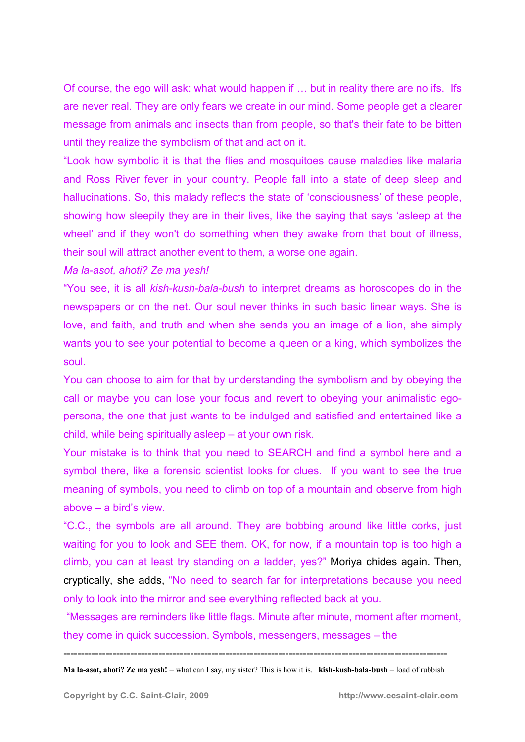Of course, the ego will ask: what would happen if ... but in reality there are no ifs. Ifs are never real. They are only fears we create in our mind. Some people get a clearer message from animals and insects than from people, so that's their fate to be bitten until they realize the symbolism of that and act on it.

"Look how symbolic it is that the flies and mosquitoes cause maladies like malaria and Ross River fever in your country. People fall into a state of deep sleep and hallucinations. So, this malady reflects the state of 'consciousness' of these people, showing how sleepily they are in their lives, like the saying that says 'asleep at the wheel' and if they won't do something when they awake from that bout of illness, their soul will attract another event to them, a worse one again.

*Ma la-asot, ahoti? Ze ma yesh!*

"You see, it is all *kish-kush-bala-bush* to interpret dreams as horoscopes do in the newspapers or on the net. Our soul never thinks in such basic linear ways. She is love, and faith, and truth and when she sends you an image of a lion, she simply wants you to see your potential to become a queen or a king, which symbolizes the soul.

You can choose to aim for that by understanding the symbolism and by obeying the call or maybe you can lose your focus and revert to obeying your animalistic egopersona, the one that just wants to be indulged and satisfied and entertained like a child, while being spiritually asleep – at your own risk.

Your mistake is to think that you need to SEARCH and find a symbol here and a symbol there, like a forensic scientist looks for clues. If you want to see the true meaning of symbols, you need to climb on top of a mountain and observe from high above – a bird's view.

"C.C., the symbols are all around. They are bobbing around like little corks, just waiting for you to look and SEE them. OK, for now, if a mountain top is too high a climb, you can at least try standing on a ladder, yes?" Moriya chides again. Then, cryptically, she adds, "No need to search far for interpretations because you need only to look into the mirror and see everything reflected back at you.

 "Messages are reminders like little flags. Minute after minute, moment after moment, they come in quick succession. Symbols, messengers, messages – the

-------------------------------------------------------------------------------------------------------------

**Ma la-asot, ahoti? Ze ma yesh!** = what can I say, my sister? This is how it is. **kish-kush-bala-bush** = load of rubbish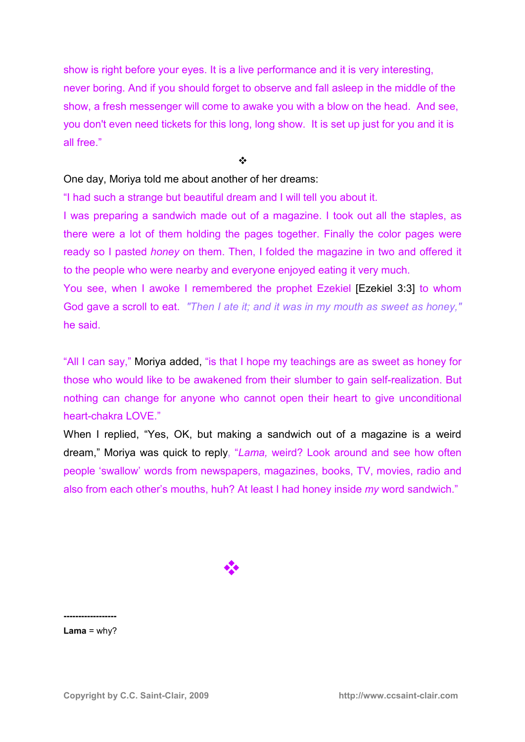show is right before your eyes. It is a live performance and it is very interesting, never boring. And if you should forget to observe and fall asleep in the middle of the show, a fresh messenger will come to awake you with a blow on the head. And see, you don't even need tickets for this long, long show. It is set up just for you and it is all free."

 $\frac{1}{2}$ 

One day, Moriya told me about another of her dreams:

"I had such a strange but beautiful dream and I will tell you about it.

I was preparing a sandwich made out of a magazine. I took out all the staples, as there were a lot of them holding the pages together. Finally the color pages were ready so I pasted *honey* on them. Then, I folded the magazine in two and offered it to the people who were nearby and everyone enjoyed eating it very much.

You see, when I awoke I remembered the prophet Ezekiel [Ezekiel 3:3] to whom God gave a scroll to eat.*"Then I ate it; and it was in my mouth as sweet as honey,"* he said.

"All I can say," Moriya added, "is that I hope my teachings are as sweet as honey for those who would like to be awakened from their slumber to gain self-realization. But nothing can change for anyone who cannot open their heart to give unconditional heart-chakra LOVE."

When I replied, "Yes, OK, but making a sandwich out of a magazine is a weird dream," Moriya was quick to reply**,** "*Lama,* weird? Look around and see how often people 'swallow' words from newspapers, magazines, books, TV, movies, radio and also from each other's mouths, huh? At least I had honey inside *my* word sandwich."

-

**------------------**  $Lama = why?$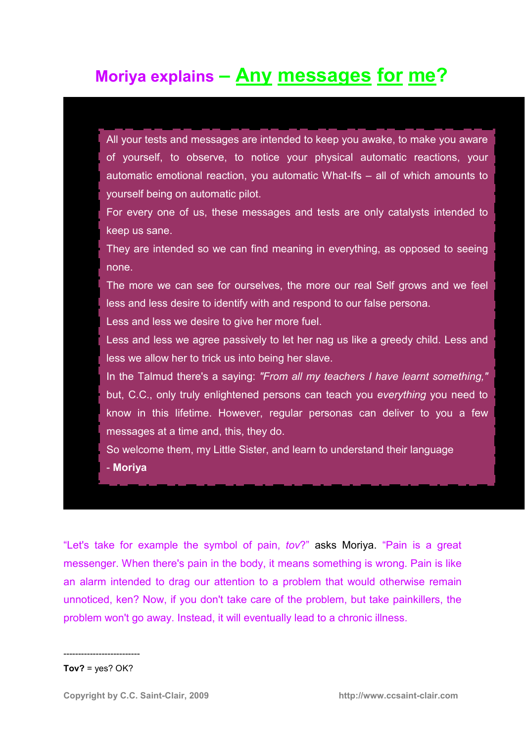# **Moriya explains – Any messages for me?**

| All your tests and messages are intended to keep you awake, to make you aware  |
|--------------------------------------------------------------------------------|
| of yourself, to observe, to notice your physical automatic reactions, your     |
| automatic emotional reaction, you automatic What-Ifs – all of which amounts to |
| yourself being on automatic pilot.                                             |
| For every one of us, these messages and tests are only catalysts intended to   |

keep us sane.

They are intended so we can find meaning in everything, as opposed to seeing none.

The more we can see for ourselves, the more our real Self grows and we feel less and less desire to identify with and respond to our false persona.

Less and less we desire to give her more fuel.

Less and less we agree passively to let her nag us like a greedy child. Less and less we allow her to trick us into being her slave.

In the Talmud there's a saying: *"From all my teachers I have learnt something,"*  but, C.C., only truly enlightened persons can teach you *everything* you need to know in this lifetime. However, regular personas can deliver to you a few messages at a time and, this, they do.

So welcome them, my Little Sister, and learn to understand their language - **Moriya**

"Let's take for example the symbol of pain, *tov*?" asks Moriya. "Pain is a great messenger. When there's pain in the body, it means something is wrong. Pain is like an alarm intended to drag our attention to a problem that would otherwise remain unnoticed, ken? Now, if you don't take care of the problem, but take painkillers, the problem won't go away. Instead, it will eventually lead to a chronic illness.

#### $Tov? = yes? OK?$

--------------------------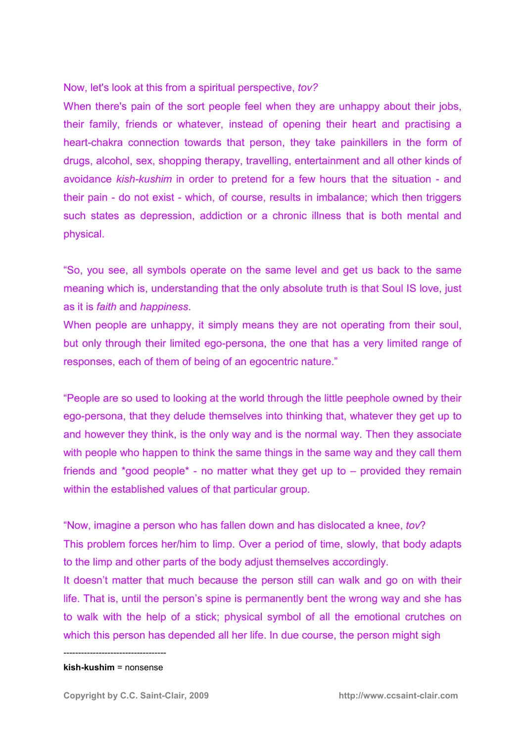Now, let's look at this from a spiritual perspective, *tov?*

When there's pain of the sort people feel when they are unhappy about their jobs, their family, friends or whatever, instead of opening their heart and practising a heart-chakra connection towards that person, they take painkillers in the form of drugs, alcohol, sex, shopping therapy, travelling, entertainment and all other kinds of avoidance *kish-kushim* in order to pretend for a few hours that the situation - and their pain - do not exist - which, of course, results in imbalance; which then triggers such states as depression, addiction or a chronic illness that is both mental and physical.

"So, you see, all symbols operate on the same level and get us back to the same meaning which is, understanding that the only absolute truth is that Soul IS love, just as it is *faith* and *happiness*.

When people are unhappy, it simply means they are not operating from their soul, but only through their limited ego-persona, the one that has a very limited range of responses, each of them of being of an egocentric nature."

"People are so used to looking at the world through the little peephole owned by their ego-persona, that they delude themselves into thinking that, whatever they get up to and however they think, is the only way and is the normal way. Then they associate with people who happen to think the same things in the same way and they call them friends and  $*qood people* - no matter what they get up to - provided they remain$ within the established values of that particular group.

"Now, imagine a person who has fallen down and has dislocated a knee, *tov*? This problem forces her/him to limp. Over a period of time, slowly, that body adapts to the limp and other parts of the body adjust themselves accordingly.

It doesn't matter that much because the person still can walk and go on with their life. That is, until the person's spine is permanently bent the wrong way and she has to walk with the help of a stick; physical symbol of all the emotional crutches on which this person has depended all her life. In due course, the person might sigh

-----------------------------------

#### **kish-kushim** = nonsense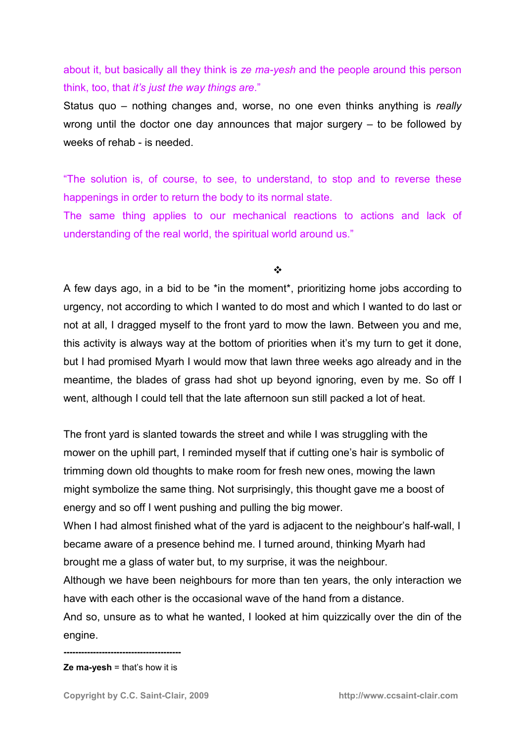about it, but basically all they think is *ze ma-yesh* and the people around this person think, too, that *it's just the way things are*."

Status quo – nothing changes and, worse, no one even thinks anything is *really*  wrong until the doctor one day announces that major surgery – to be followed by weeks of rehab - is needed.

"The solution is, of course, to see, to understand, to stop and to reverse these happenings in order to return the body to its normal state.

The same thing applies to our mechanical reactions to actions and lack of understanding of the real world, the spiritual world around us."

 $\cdot$ 

A few days ago, in a bid to be \*in the moment\*, prioritizing home jobs according to urgency, not according to which I wanted to do most and which I wanted to do last or not at all, I dragged myself to the front yard to mow the lawn. Between you and me, this activity is always way at the bottom of priorities when it's my turn to get it done, but I had promised Myarh I would mow that lawn three weeks ago already and in the meantime, the blades of grass had shot up beyond ignoring, even by me. So off I went, although I could tell that the late afternoon sun still packed a lot of heat.

The front yard is slanted towards the street and while I was struggling with the mower on the uphill part, I reminded myself that if cutting one's hair is symbolic of trimming down old thoughts to make room for fresh new ones, mowing the lawn might symbolize the same thing. Not surprisingly, this thought gave me a boost of energy and so off I went pushing and pulling the big mower.

When I had almost finished what of the yard is adjacent to the neighbour's half-wall, I became aware of a presence behind me. I turned around, thinking Myarh had brought me a glass of water but, to my surprise, it was the neighbour.

Although we have been neighbours for more than ten years, the only interaction we have with each other is the occasional wave of the hand from a distance.

And so, unsure as to what he wanted, I looked at him quizzically over the din of the engine.

**----------------------------------------** 

**Ze ma-yesh** = that's how it is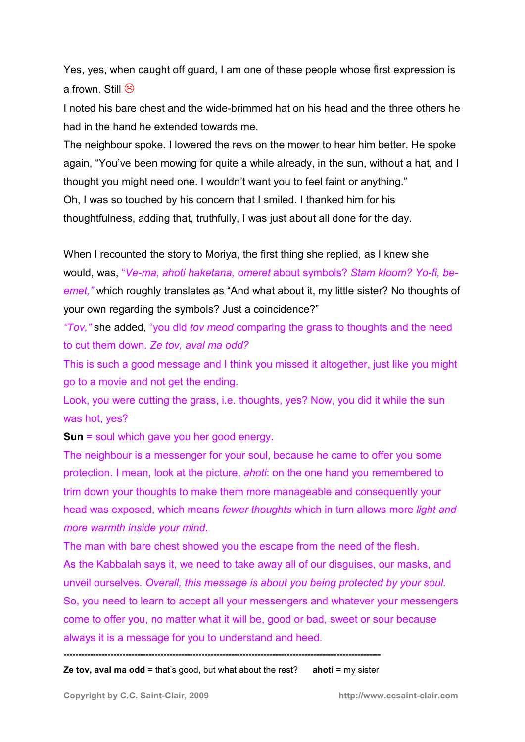Yes, yes, when caught off guard, I am one of these people whose first expression is a frown. Still  $\circledR$ 

I noted his bare chest and the wide-brimmed hat on his head and the three others he had in the hand he extended towards me.

The neighbour spoke. I lowered the revs on the mower to hear him better. He spoke again, "You've been mowing for quite a while already, in the sun, without a hat, and I thought you might need one. I wouldn't want you to feel faint or anything." Oh, I was so touched by his concern that I smiled. I thanked him for his thoughtfulness, adding that, truthfully, I was just about all done for the day.

When I recounted the story to Moriya, the first thing she replied, as I knew she would, was, "*Ve-ma*, *ahoti haketana, omeret* about symbols? *Stam kloom? Yo-fi, beemet,"* which roughly translates as "And what about it, my little sister? No thoughts of your own regarding the symbols? Just a coincidence?"

*"Tov,"* she added, "you did *tov meod* comparing the grass to thoughts and the need to cut them down. *Ze tov, aval ma odd?*

This is such a good message and I think you missed it altogether, just like you might go to a movie and not get the ending.

Look, you were cutting the grass, i.e. thoughts, yes? Now, you did it while the sun was hot, yes?

**Sun** = soul which gave you her good energy.

The neighbour is a messenger for your soul, because he came to offer you some protection. I mean, look at the picture, *ahoti*: on the one hand you remembered to trim down your thoughts to make them more manageable and consequently your head was exposed, which means *fewer thoughts* which in turn allows more *light and more warmth inside your mind*.

The man with bare chest showed you the escape from the need of the flesh. As the Kabbalah says it, we need to take away all of our disguises, our masks, and unveil ourselves. *Overall, this message is about you being protected by your soul.*  So, you need to learn to accept all your messengers and whatever your messengers come to offer you, no matter what it will be, good or bad, sweet or sour because always it is a message for you to understand and heed.

**------------------------------------------------------------------------------------------------------------** 

**Ze tov, aval ma odd = that's good, but what about the rest? ahoti = my sister**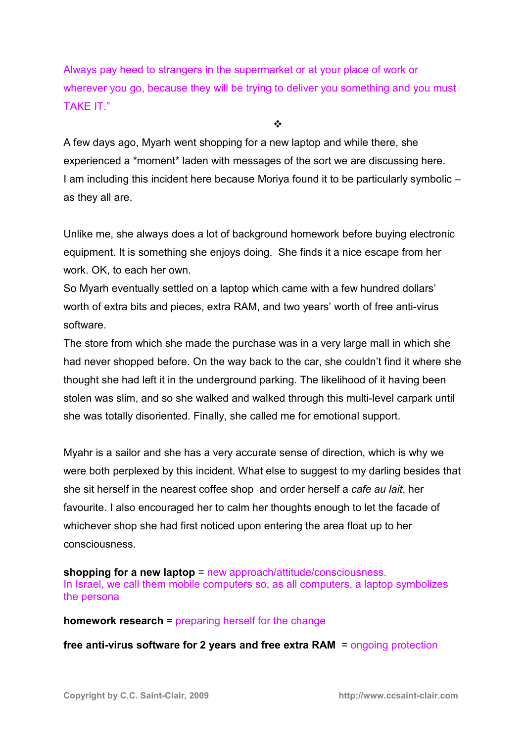Always pay heed to strangers in the supermarket or at your place of work or wherever you go, because they will be trying to deliver you something and you must TAKE IT."

 $\frac{1}{2}$ 

A few days ago, Myarh went shopping for a new laptop and while there, she experienced a \*moment\* laden with messages of the sort we are discussing here. I am including this incident here because Moriya found it to be particularly symbolic – as they all are.

Unlike me, she always does a lot of background homework before buying electronic equipment. It is something she enjoys doing. She finds it a nice escape from her work. OK, to each her own.

So Myarh eventually settled on a laptop which came with a few hundred dollars' worth of extra bits and pieces, extra RAM, and two years' worth of free anti-virus software.

The store from which she made the purchase was in a very large mall in which she had never shopped before. On the way back to the car, she couldn't find it where she thought she had left it in the underground parking. The likelihood of it having been stolen was slim, and so she walked and walked through this multi-level carpark until she was totally disoriented. Finally, she called me for emotional support.

Myahr is a sailor and she has a very accurate sense of direction, which is why we were both perplexed by this incident. What else to suggest to my darling besides that she sit herself in the nearest coffee shop and order herself a *cafe au lait*, her favourite. I also encouraged her to calm her thoughts enough to let the facade of whichever shop she had first noticed upon entering the area float up to her consciousness.

**shopping for a new laptop = new approach/attitude/consciousness.** In Israel, we call them mobile computers so, as all computers, a laptop symbolizes the persona

**homework research** = preparing herself for the change

**free anti-virus software for 2 years and free extra RAM** = ongoing protection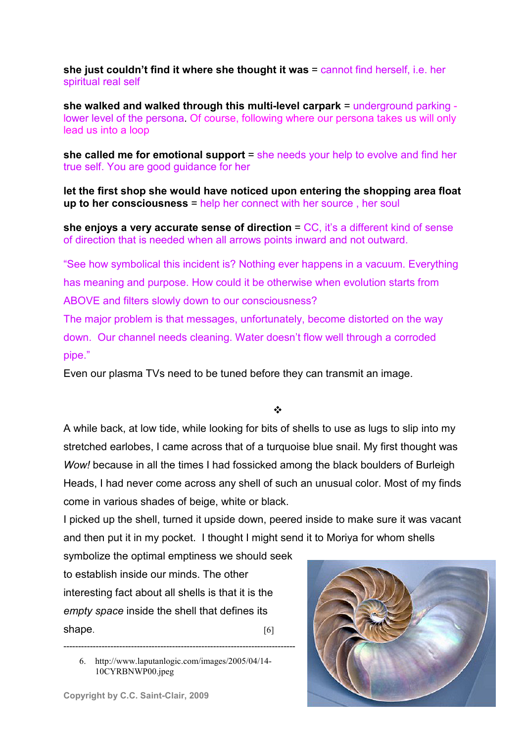**she just couldn't find it where she thought it was** = cannot find herself, i.e. her spiritual real self

**she walked and walked through this multi-level carpark** = underground parking lower level of the persona. Of course, following where our persona takes us will only lead us into a loop

**she called me for emotional support** = she needs your help to evolve and find her true self. You are good guidance for her

**let the first shop she would have noticed upon entering the shopping area float up to her consciousness** = help her connect with her source , her soul

**she enjoys a very accurate sense of direction = CC, it's a different kind of sense** of direction that is needed when all arrows points inward and not outward.

"See how symbolical this incident is? Nothing ever happens in a vacuum. Everything has meaning and purpose. How could it be otherwise when evolution starts from ABOVE and filters slowly down to our consciousness?

The major problem is that messages, unfortunately, become distorted on the way down. Our channel needs cleaning. Water doesn't flow well through a corroded pipe."

Even our plasma TVs need to be tuned before they can transmit an image.

#### $\frac{1}{2}$

A while back, at low tide, while looking for bits of shells to use as lugs to slip into my stretched earlobes, I came across that of a turquoise blue snail. My first thought was *Wow!* because in all the times I had fossicked among the black boulders of Burleigh Heads, I had never come across any shell of such an unusual color. Most of my finds come in various shades of beige, white or black.

I picked up the shell, turned it upside down, peered inside to make sure it was vacant and then put it in my pocket. I thought I might send it to Moriya for whom shells

symbolize the optimal emptiness we should seek to establish inside our minds. The other interesting fact about all shells is that it is the *empty space* inside the shell that defines its shape. [6]

6. http://www.laputanlogic.com/images/2005/04/14- 10CYRBNWP00.jpeg

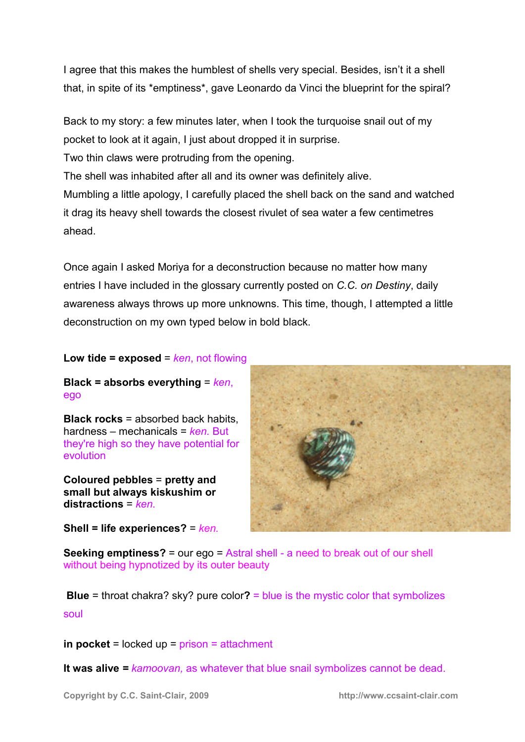I agree that this makes the humblest of shells very special. Besides, isn't it a shell that, in spite of its \*emptiness\*, gave Leonardo da Vinci the blueprint for the spiral?

Back to my story: a few minutes later, when I took the turquoise snail out of my pocket to look at it again, I just about dropped it in surprise.

Two thin claws were protruding from the opening.

The shell was inhabited after all and its owner was definitely alive.

Mumbling a little apology, I carefully placed the shell back on the sand and watched it drag its heavy shell towards the closest rivulet of sea water a few centimetres ahead.

Once again I asked Moriya for a deconstruction because no matter how many entries I have included in the glossary currently posted on *C.C. on Destiny*, daily awareness always throws up more unknowns. This time, though, I attempted a little deconstruction on my own typed below in bold black.

# **Low tide = exposed** = *ken*, not flowing

**Black = absorbs everything** = *ken*, ego

**Black rocks** = absorbed back habits, hardness – mechanicals = *ken.* But they're high so they have potential for evolution

**Coloured pebbles** = **pretty and small but always kiskushim or distractions** = *ken.* 

**Shell = life experiences?** = *ken.* 



**Seeking emptiness?** = our ego = Astral shell - a need to break out of our shell without being hypnotized by its outer beauty

**Blue** = throat chakra? sky? pure color**?** = blue is the mystic color that symbolizes soul

**in pocket** = locked up = prison = attachment

**It was alive** *= kamoovan,* as whatever that blue snail symbolizes cannot be dead.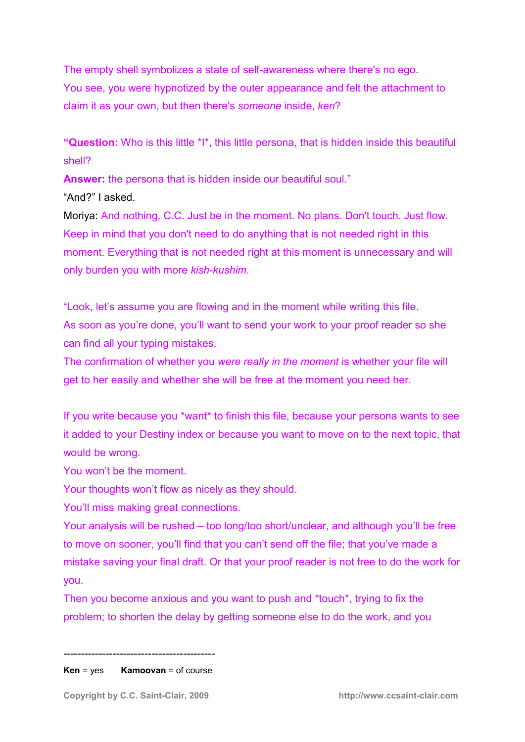The empty shell symbolizes a state of self-awareness where there's no ego. You see, you were hypnotized by the outer appearance and felt the attachment to claim it as your own, but then there's *someone* inside, *ken*?

**"Question:** Who is this little \*I\*, this little persona, that is hidden inside this beautiful shell?

**Answer:** the persona that is hidden inside our beautiful soul."

"And?" I asked.

Moriya: And nothing, C.C. Just be in the moment. No plans. Don't touch. Just flow. Keep in mind that you don't need to do anything that is not needed right in this moment. Everything that is not needed right at this moment is unnecessary and will only burden you with more *kish-kushim.*

"Look, let's assume you are flowing and in the moment while writing this file. As soon as you're done, you'll want to send your work to your proof reader so she can find all your typing mistakes.

The confirmation of whether you *were really in the moment* is whether your file will get to her easily and whether she will be free at the moment you need her.

If you write because you \*want\* to finish this file, because your persona wants to see it added to your Destiny index or because you want to move on to the next topic, that would be wrong.

You won't be the moment.

Your thoughts won't flow as nicely as they should.

You'll miss making great connections.

Your analysis will be rushed – too long/too short/unclear, and although you'll be free to move on sooner, you'll find that you can't send off the file; that you've made a mistake saving your final draft. Or that your proof reader is not free to do the work for you.

Then you become anxious and you want to push and \*touch\*, trying to fix the problem; to shorten the delay by getting someone else to do the work, and you

------------------------------------------- **Ken** = yes **Kamoovan** = of course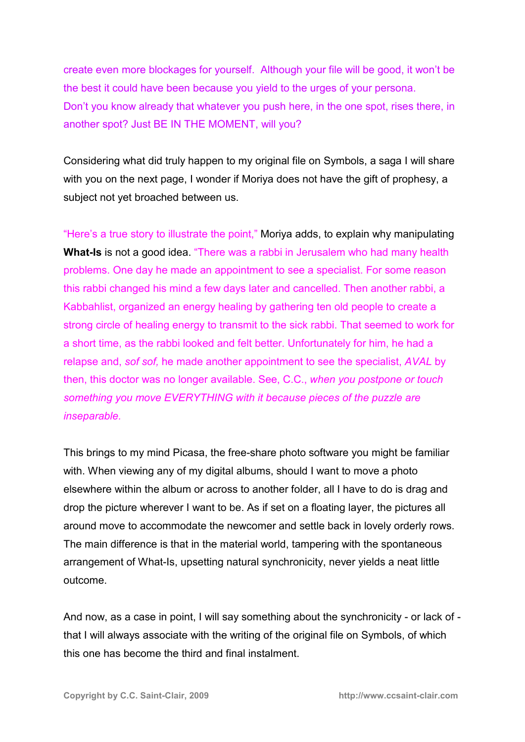create even more blockages for yourself. Although your file will be good, it won't be the best it could have been because you yield to the urges of your persona. Don't you know already that whatever you push here, in the one spot, rises there, in another spot? Just BE IN THE MOMENT, will you?

Considering what did truly happen to my original file on Symbols, a saga I will share with you on the next page, I wonder if Moriya does not have the gift of prophesy, a subject not yet broached between us.

"Here's a true story to illustrate the point," Moriya adds, to explain why manipulating **What-Is** is not a good idea. "There was a rabbi in Jerusalem who had many health problems. One day he made an appointment to see a specialist. For some reason this rabbi changed his mind a few days later and cancelled. Then another rabbi, a Kabbahlist, organized an energy healing by gathering ten old people to create a strong circle of healing energy to transmit to the sick rabbi. That seemed to work for a short time, as the rabbi looked and felt better. Unfortunately for him, he had a relapse and, *sof sof,* he made another appointment to see the specialist, *AVAL* by then, this doctor was no longer available. See, C.C., *when you postpone or touch something you move EVERYTHING with it because pieces of the puzzle are inseparable.* 

This brings to my mind Picasa, the free-share photo software you might be familiar with. When viewing any of my digital albums, should I want to move a photo elsewhere within the album or across to another folder, all I have to do is drag and drop the picture wherever I want to be. As if set on a floating layer, the pictures all around move to accommodate the newcomer and settle back in lovely orderly rows. The main difference is that in the material world, tampering with the spontaneous arrangement of What-Is, upsetting natural synchronicity, never yields a neat little outcome.

And now, as a case in point, I will say something about the synchronicity - or lack of that I will always associate with the writing of the original file on Symbols, of which this one has become the third and final instalment.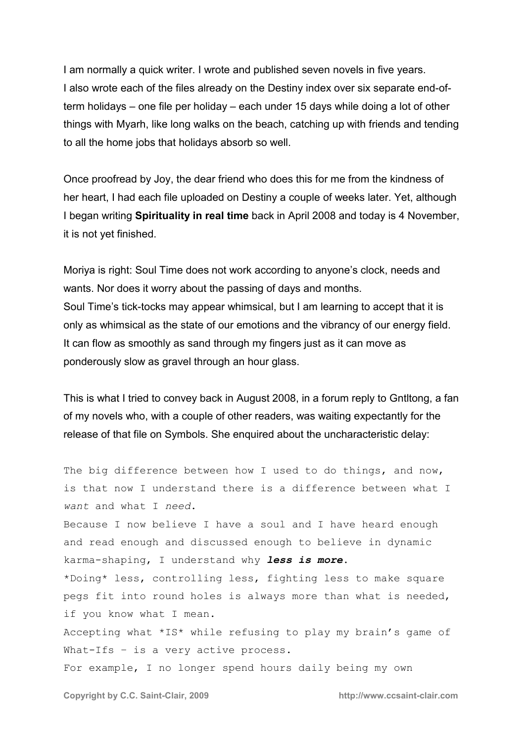I am normally a quick writer. I wrote and published seven novels in five years. I also wrote each of the files already on the Destiny index over six separate end-ofterm holidays – one file per holiday – each under 15 days while doing a lot of other things with Myarh, like long walks on the beach, catching up with friends and tending to all the home jobs that holidays absorb so well.

Once proofread by Joy, the dear friend who does this for me from the kindness of her heart, I had each file uploaded on Destiny a couple of weeks later. Yet, although I began writing **Spirituality in real time** back in April 2008 and today is 4 November, it is not yet finished.

Moriya is right: Soul Time does not work according to anyone's clock, needs and wants. Nor does it worry about the passing of days and months. Soul Time's tick-tocks may appear whimsical, but I am learning to accept that it is only as whimsical as the state of our emotions and the vibrancy of our energy field. It can flow as smoothly as sand through my fingers just as it can move as ponderously slow as gravel through an hour glass.

This is what I tried to convey back in August 2008, in a forum reply to Gntltong, a fan of my novels who, with a couple of other readers, was waiting expectantly for the release of that file on Symbols. She enquired about the uncharacteristic delay:

The big difference between how I used to do things, and now, is that now I understand there is a difference between what I *want* and what I *need*.

Because I now believe I have a soul and I have heard enough and read enough and discussed enough to believe in dynamic karma-shaping, I understand why *less is more*.

\*Doing\* less, controlling less, fighting less to make square pegs fit into round holes is always more than what is needed, if you know what I mean.

Accepting what \*IS\* while refusing to play my brain's game of What-Ifs - is a very active process.

For example, I no longer spend hours daily being my own

**Copyright by C.C. Saint-Clair, 2009 http://www.ccsaint-clair.com**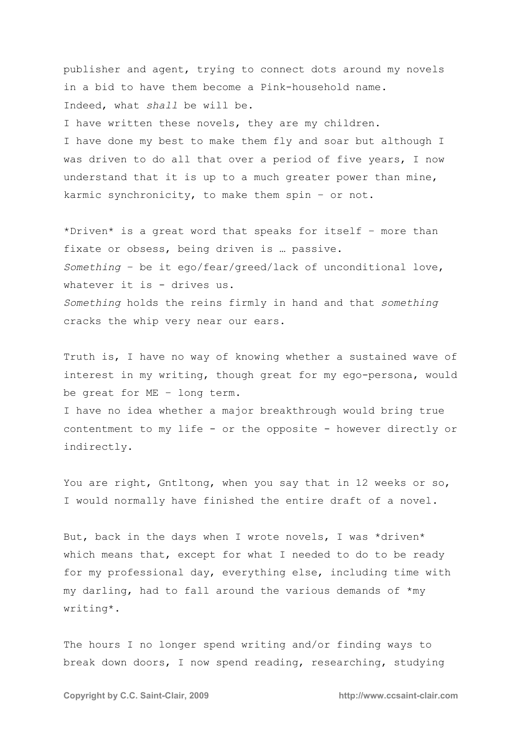publisher and agent, trying to connect dots around my novels in a bid to have them become a Pink-household name. Indeed, what *shall* be will be.

I have written these novels, they are my children.

I have done my best to make them fly and soar but although I was driven to do all that over a period of five years, I now understand that it is up to a much greater power than mine, karmic synchronicity, to make them spin – or not.

\*Driven\* is a great word that speaks for itself – more than fixate or obsess, being driven is … passive. *Something* – be it ego/fear/greed/lack of unconditional love, whatever it is - drives us. *Something* holds the reins firmly in hand and that *something* cracks the whip very near our ears.

Truth is, I have no way of knowing whether a sustained wave of interest in my writing, though great for my ego-persona, would be great for ME – long term.

I have no idea whether a major breakthrough would bring true contentment to my life - or the opposite - however directly or indirectly.

You are right, Gntltong, when you say that in 12 weeks or so, I would normally have finished the entire draft of a novel.

But, back in the days when I wrote novels, I was \*driven\* which means that, except for what I needed to do to be ready for my professional day, everything else, including time with my darling, had to fall around the various demands of \*my writing\*.

The hours I no longer spend writing and/or finding ways to break down doors, I now spend reading, researching, studying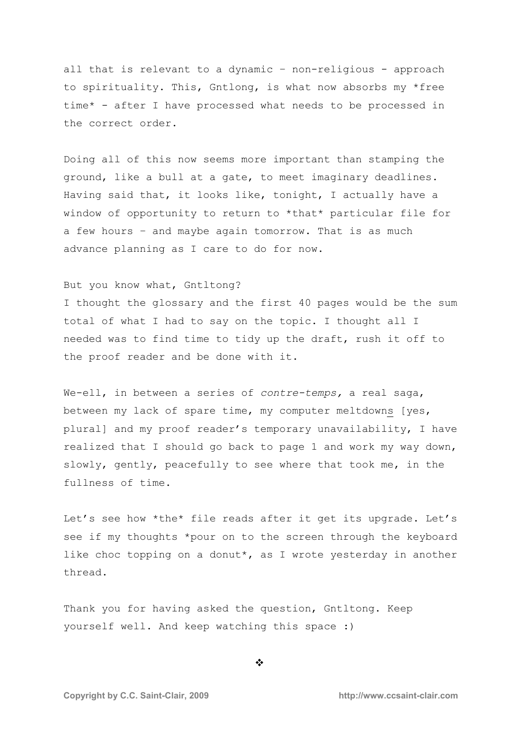all that is relevant to a dynamic – non-religious - approach to spirituality. This, Gntlong, is what now absorbs my \*free time\* - after I have processed what needs to be processed in the correct order.

Doing all of this now seems more important than stamping the ground, like a bull at a gate, to meet imaginary deadlines. Having said that, it looks like, tonight, I actually have a window of opportunity to return to \*that\* particular file for a few hours – and maybe again tomorrow. That is as much advance planning as I care to do for now.

#### But you know what, Gntltong?

I thought the glossary and the first 40 pages would be the sum total of what I had to say on the topic. I thought all I needed was to find time to tidy up the draft, rush it off to the proof reader and be done with it.

We-ell, in between a series of *contre-temps,* a real saga, between my lack of spare time, my computer meltdowns [yes, plural] and my proof reader's temporary unavailability, I have realized that I should go back to page 1 and work my way down, slowly, gently, peacefully to see where that took me, in the fullness of time.

Let's see how \*the\* file reads after it get its upgrade. Let's see if my thoughts \*pour on to the screen through the keyboard like choc topping on a donut\*, as I wrote yesterday in another thread.

Thank you for having asked the question, Gntltong. Keep yourself well. And keep watching this space :)

 $\ddot{\cdot}$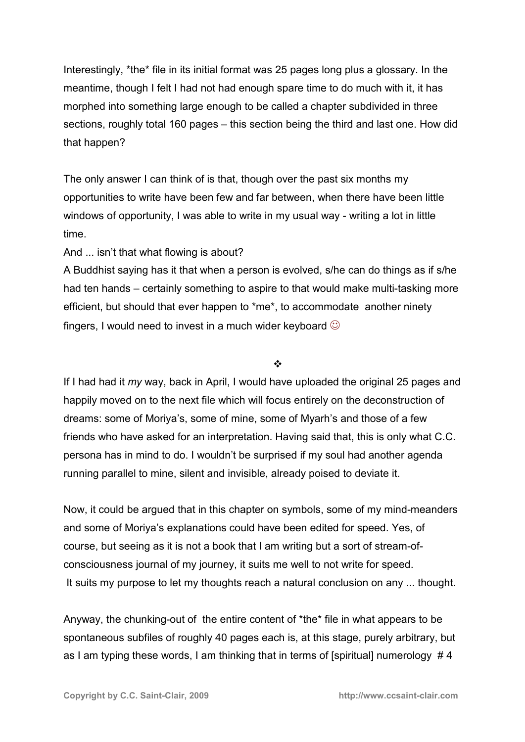Interestingly, \*the\* file in its initial format was 25 pages long plus a glossary. In the meantime, though I felt I had not had enough spare time to do much with it, it has morphed into something large enough to be called a chapter subdivided in three sections, roughly total 160 pages – this section being the third and last one. How did that happen?

The only answer I can think of is that, though over the past six months my opportunities to write have been few and far between, when there have been little windows of opportunity, I was able to write in my usual way - writing a lot in little time.

And ... isn't that what flowing is about?

A Buddhist saying has it that when a person is evolved, s/he can do things as if s/he had ten hands – certainly something to aspire to that would make multi-tasking more efficient, but should that ever happen to \*me\*, to accommodate another ninety fingers, I would need to invest in a much wider keyboard  $\odot$ 

 $\frac{1}{2}$ 

If I had had it *my* way, back in April, I would have uploaded the original 25 pages and happily moved on to the next file which will focus entirely on the deconstruction of dreams: some of Moriya's, some of mine, some of Myarh's and those of a few friends who have asked for an interpretation. Having said that, this is only what C.C. persona has in mind to do. I wouldn't be surprised if my soul had another agenda running parallel to mine, silent and invisible, already poised to deviate it.

Now, it could be argued that in this chapter on symbols, some of my mind-meanders and some of Moriya's explanations could have been edited for speed. Yes, of course, but seeing as it is not a book that I am writing but a sort of stream-ofconsciousness journal of my journey, it suits me well to not write for speed. It suits my purpose to let my thoughts reach a natural conclusion on any ... thought.

Anyway, the chunking-out of the entire content of \*the\* file in what appears to be spontaneous subfiles of roughly 40 pages each is, at this stage, purely arbitrary, but as I am typing these words, I am thinking that in terms of [spiritual] numerology # 4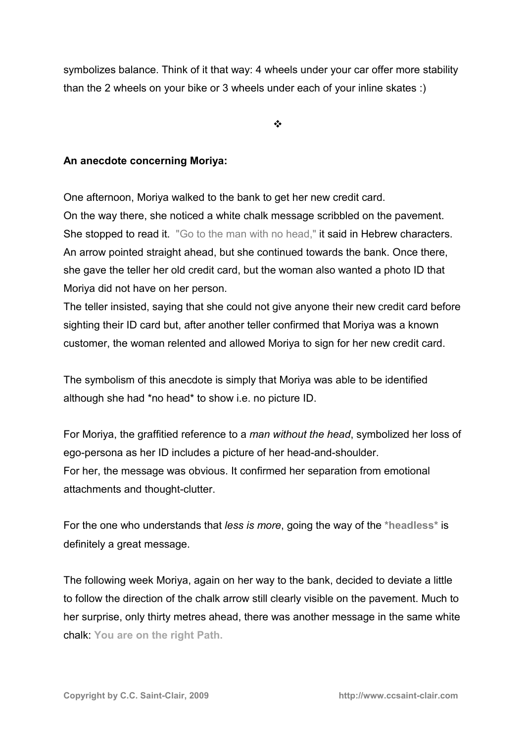symbolizes balance. Think of it that way: 4 wheels under your car offer more stability than the 2 wheels on your bike or 3 wheels under each of your inline skates :)

 $\ddot{\cdot}$ 

### **An anecdote concerning Moriya:**

One afternoon, Moriya walked to the bank to get her new credit card. On the way there, she noticed a white chalk message scribbled on the pavement. She stopped to read it. "Go to the man with no head," it said in Hebrew characters. An arrow pointed straight ahead, but she continued towards the bank. Once there, she gave the teller her old credit card, but the woman also wanted a photo ID that Moriya did not have on her person.

The teller insisted, saying that she could not give anyone their new credit card before sighting their ID card but, after another teller confirmed that Moriya was a known customer, the woman relented and allowed Moriya to sign for her new credit card.

The symbolism of this anecdote is simply that Moriya was able to be identified although she had \*no head\* to show i.e. no picture ID.

For Moriya, the graffitied reference to a *man without the head*, symbolized her loss of ego-persona as her ID includes a picture of her head-and-shoulder. For her, the message was obvious. It confirmed her separation from emotional attachments and thought-clutter.

For the one who understands that *less is more*, going the way of the **\*headless\*** is definitely a great message.

The following week Moriya, again on her way to the bank, decided to deviate a little to follow the direction of the chalk arrow still clearly visible on the pavement. Much to her surprise, only thirty metres ahead, there was another message in the same white chalk: **You are on the right Path.**